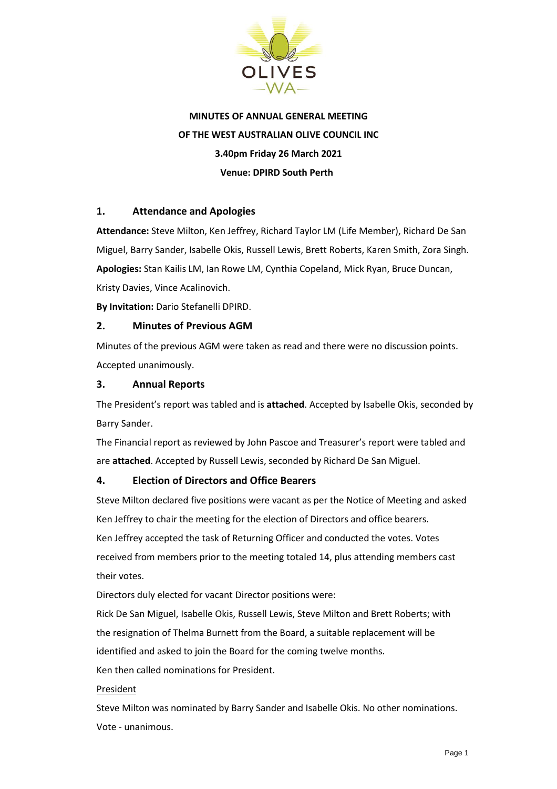

# **MINUTES OF ANNUAL GENERAL MEETING OF THE WEST AUSTRALIAN OLIVE COUNCIL INC 3.40pm Friday 26 March 2021 Venue: DPIRD South Perth**

## **1. Attendance and Apologies**

**Attendance:** Steve Milton, Ken Jeffrey, Richard Taylor LM (Life Member), Richard De San Miguel, Barry Sander, Isabelle Okis, Russell Lewis, Brett Roberts, Karen Smith, Zora Singh. **Apologies:** Stan Kailis LM, Ian Rowe LM, Cynthia Copeland, Mick Ryan, Bruce Duncan, Kristy Davies, Vince Acalinovich.

**By Invitation:** Dario Stefanelli DPIRD.

#### **2. Minutes of Previous AGM**

Minutes of the previous AGM were taken as read and there were no discussion points. Accepted unanimously.

#### **3. Annual Reports**

The President's report was tabled and is **attached**. Accepted by Isabelle Okis, seconded by Barry Sander.

The Financial report as reviewed by John Pascoe and Treasurer's report were tabled and are **attached**. Accepted by Russell Lewis, seconded by Richard De San Miguel.

# **4. Election of Directors and Office Bearers**

Steve Milton declared five positions were vacant as per the Notice of Meeting and asked Ken Jeffrey to chair the meeting for the election of Directors and office bearers. Ken Jeffrey accepted the task of Returning Officer and conducted the votes. Votes received from members prior to the meeting totaled 14, plus attending members cast their votes.

Directors duly elected for vacant Director positions were:

Rick De San Miguel, Isabelle Okis, Russell Lewis, Steve Milton and Brett Roberts; with the resignation of Thelma Burnett from the Board, a suitable replacement will be identified and asked to join the Board for the coming twelve months.

Ken then called nominations for President.

#### President

Steve Milton was nominated by Barry Sander and Isabelle Okis. No other nominations. Vote - unanimous.